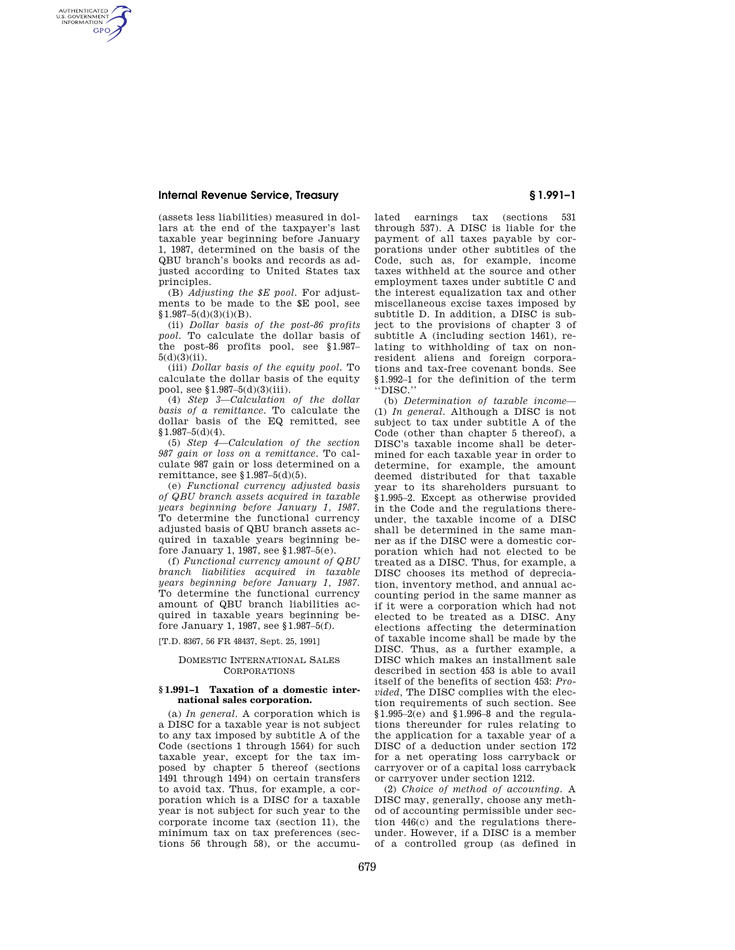# **Internal Revenue Service, Treasury § 1.991–1**

AUTHENTICATED<br>U.S. GOVERNMENT<br>INFORMATION **GPO** 

> (assets less liabilities) measured in dollars at the end of the taxpayer's last taxable year beginning before January 1, 1987, determined on the basis of the QBU branch's books and records as adjusted according to United States tax principles.

> (B) *Adjusting the \$E pool.* For adjustments to be made to the \$E pool, see  $$1.987-5(d)(3)(i)(B).$

> (ii) *Dollar basis of the post-86 profits pool.* To calculate the dollar basis of the post-86 profits pool, see §1.987–  $5(d)(3)(ii)$ .

> (iii) *Dollar basis of the equity pool.* To calculate the dollar basis of the equity pool, see §1.987–5(d)(3)(iii).

> (4) *Step 3—Calculation of the dollar basis of a remittance.* To calculate the dollar basis of the EQ remitted, see  $$1.987 - 5(d)(4).$

> (5) *Step 4—Calculation of the section 987 gain or loss on a remittance.* To calculate 987 gain or loss determined on a remittance, see §1.987–5(d)(5).

> (e) *Functional currency adjusted basis of QBU branch assets acquired in taxable years beginning before January 1, 1987.*  To determine the functional currency adjusted basis of QBU branch assets acquired in taxable years beginning before January 1, 1987, see §1.987–5(e).

> (f) *Functional currency amount of QBU branch liabilities acquired in taxable years beginning before January 1, 1987.*  To determine the functional currency amount of QBU branch liabilities acquired in taxable years beginning before January 1, 1987, see §1.987–5(f).

[T.D. 8367, 56 FR 48437, Sept. 25, 1991]

### DOMESTIC INTERNATIONAL SALES CORPORATIONS

## **§ 1.991–1 Taxation of a domestic international sales corporation.**

(a) *In general.* A corporation which is a DISC for a taxable year is not subject to any tax imposed by subtitle A of the Code (sections 1 through 1564) for such taxable year, except for the tax imposed by chapter 5 thereof (sections 1491 through 1494) on certain transfers to avoid tax. Thus, for example, a corporation which is a DISC for a taxable year is not subject for such year to the corporate income tax (section 11), the minimum tax on tax preferences (sections 56 through 58), or the accumulated earnings tax (sections 531 through 537). A DISC is liable for the payment of all taxes payable by corporations under other subtitles of the Code, such as, for example, income taxes withheld at the source and other employment taxes under subtitle C and the interest equalization tax and other miscellaneous excise taxes imposed by subtitle D. In addition, a DISC is subject to the provisions of chapter 3 of subtitle A (including section 1461), relating to withholding of tax on nonresident aliens and foreign corporations and tax-free covenant bonds. See §1.992–1 for the definition of the term ''DISC.''

(b) *Determination of taxable income*— (1) *In general.* Although a DISC is not subject to tax under subtitle A of the Code (other than chapter 5 thereof), a DISC's taxable income shall be determined for each taxable year in order to determine, for example, the amount deemed distributed for that taxable year to its shareholders pursuant to §1.995–2. Except as otherwise provided in the Code and the regulations thereunder, the taxable income of a DISC shall be determined in the same manner as if the DISC were a domestic corporation which had not elected to be treated as a DISC. Thus, for example, a DISC chooses its method of depreciation, inventory method, and annual accounting period in the same manner as if it were a corporation which had not elected to be treated as a DISC. Any elections affecting the determination of taxable income shall be made by the DISC. Thus, as a further example, a DISC which makes an installment sale described in section 453 is able to avail itself of the benefits of section 453: *Provided,* The DISC complies with the election requirements of such section. See  $§1.995-2(e)$  and  $§1.996-8$  and the regulations thereunder for rules relating to the application for a taxable year of a DISC of a deduction under section 172 for a net operating loss carryback or carryover or of a capital loss carryback or carryover under section 1212.

(2) *Choice of method of accounting.* A DISC may, generally, choose any method of accounting permissible under section 446(c) and the regulations thereunder. However, if a DISC is a member of a controlled group (as defined in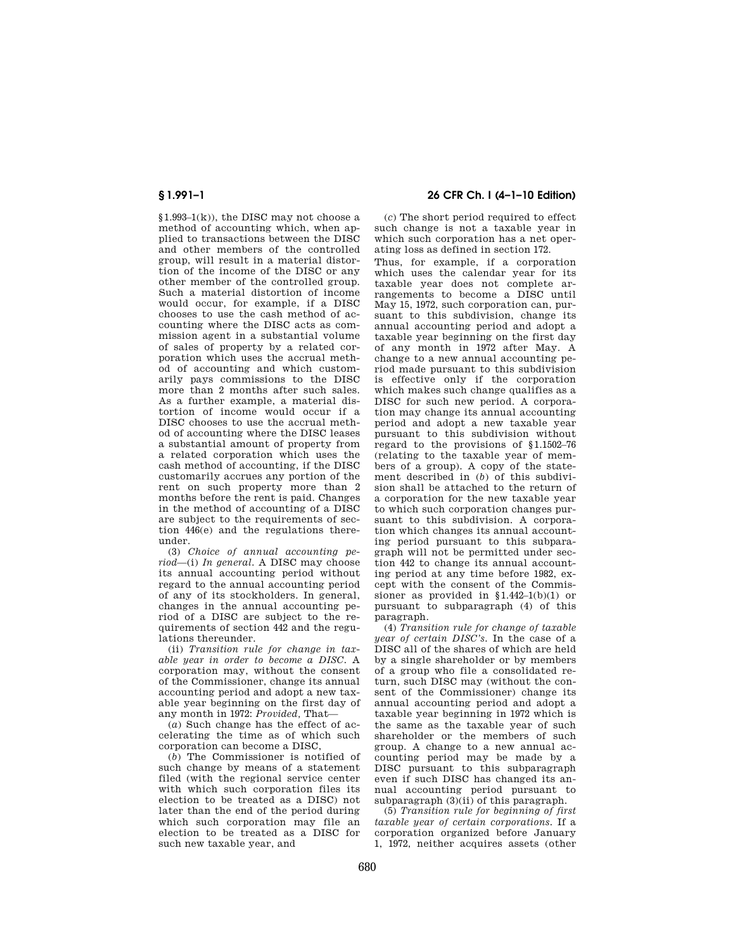$$1.993-1(k)$ , the DISC may not choose a method of accounting which, when applied to transactions between the DISC and other members of the controlled group, will result in a material distortion of the income of the DISC or any other member of the controlled group. Such a material distortion of income would occur, for example, if a DISC chooses to use the cash method of accounting where the DISC acts as commission agent in a substantial volume of sales of property by a related corporation which uses the accrual method of accounting and which customarily pays commissions to the DISC more than 2 months after such sales. As a further example, a material distortion of income would occur if a DISC chooses to use the accrual method of accounting where the DISC leases a substantial amount of property from a related corporation which uses the cash method of accounting, if the DISC customarily accrues any portion of the rent on such property more than 2 months before the rent is paid. Changes in the method of accounting of a DISC are subject to the requirements of section 446(e) and the regulations thereunder.

(3) *Choice of annual accounting period*—(i) *In general.* A DISC may choose its annual accounting period without regard to the annual accounting period of any of its stockholders. In general, changes in the annual accounting period of a DISC are subject to the requirements of section 442 and the regulations thereunder.

(ii) *Transition rule for change in taxable year in order to become a DISC.* A corporation may, without the consent of the Commissioner, change its annual accounting period and adopt a new taxable year beginning on the first day of any month in 1972: *Provided,* That—

(*a*) Such change has the effect of accelerating the time as of which such corporation can become a DISC,

(*b*) The Commissioner is notified of such change by means of a statement filed (with the regional service center with which such corporation files its election to be treated as a DISC) not later than the end of the period during which such corporation may file an election to be treated as a DISC for such new taxable year, and

# **§ 1.991–1 26 CFR Ch. I (4–1–10 Edition)**

(*c*) The short period required to effect such change is not a taxable year in which such corporation has a net operating loss as defined in section 172.

Thus, for example, if a corporation which uses the calendar year for its taxable year does not complete arrangements to become a DISC until May 15, 1972, such corporation can, pursuant to this subdivision, change its annual accounting period and adopt a taxable year beginning on the first day of any month in 1972 after May. A change to a new annual accounting period made pursuant to this subdivision is effective only if the corporation which makes such change qualifies as a DISC for such new period. A corporation may change its annual accounting period and adopt a new taxable year pursuant to this subdivision without regard to the provisions of §1.1502–76 (relating to the taxable year of members of a group). A copy of the statement described in (*b*) of this subdivision shall be attached to the return of a corporation for the new taxable year to which such corporation changes pursuant to this subdivision. A corporation which changes its annual accounting period pursuant to this subparagraph will not be permitted under section 442 to change its annual accounting period at any time before 1982, except with the consent of the Commissioner as provided in §1.442–1(b)(1) or pursuant to subparagraph (4) of this paragraph.

(4) *Transition rule for change of taxable year of certain DISC's.* In the case of a DISC all of the shares of which are held by a single shareholder or by members of a group who file a consolidated return, such DISC may (without the consent of the Commissioner) change its annual accounting period and adopt a taxable year beginning in 1972 which is the same as the taxable year of such shareholder or the members of such group. A change to a new annual accounting period may be made by a DISC pursuant to this subparagraph even if such DISC has changed its annual accounting period pursuant to subparagraph  $(3)(ii)$  of this paragraph.

(5) *Transition rule for beginning of first taxable year of certain corporations.* If a corporation organized before January 1, 1972, neither acquires assets (other